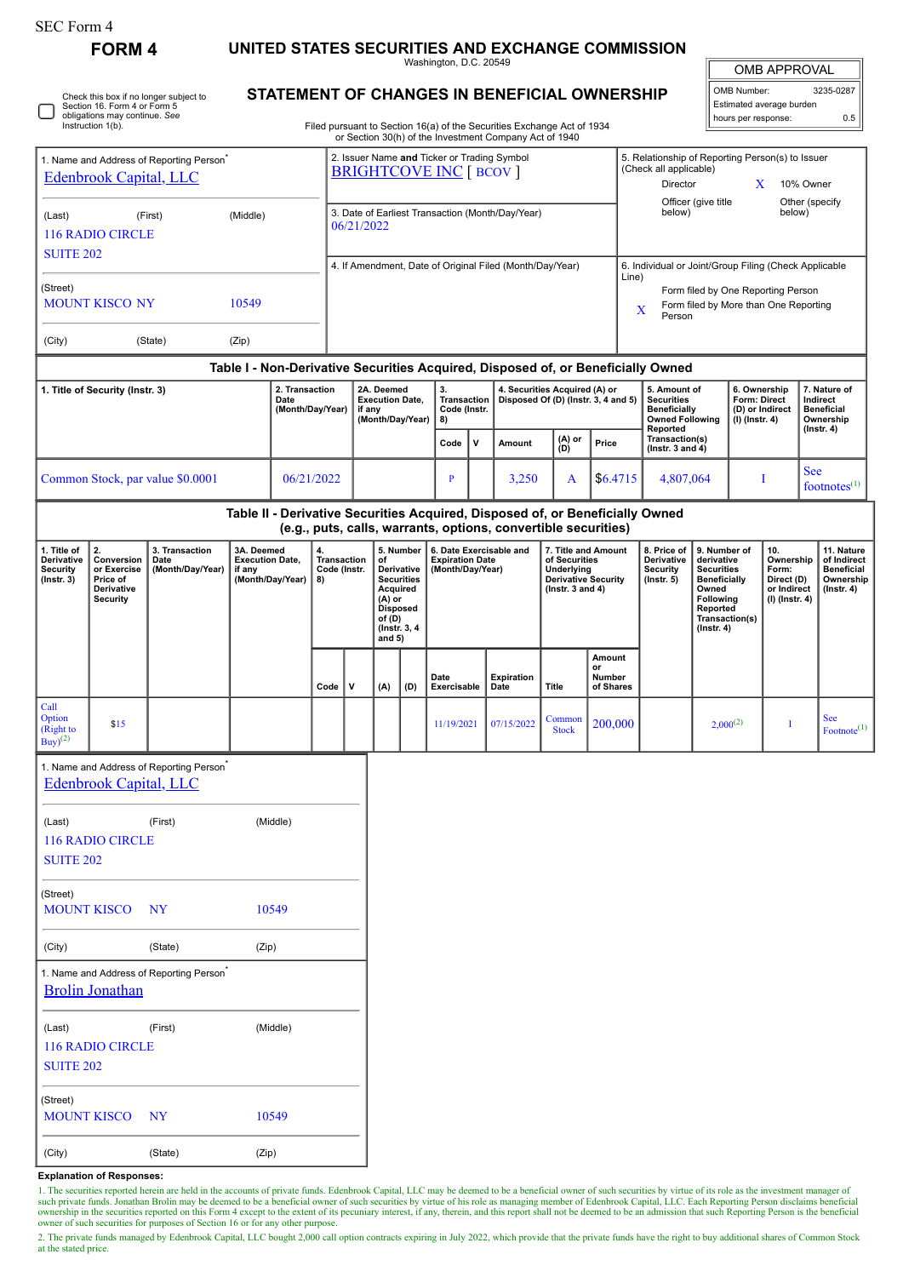| r orm |  |
|-------|--|
|-------|--|

**FORM 4 UNITED STATES SECURITIES AND EXCHANGE COMMISSION**

Washington, D.C. 20549

OMB APPROVAL

 $\frac{1}{2}$ 

| OMB Number:              | 3235-0287<br>ı |  |  |  |  |  |  |  |
|--------------------------|----------------|--|--|--|--|--|--|--|
| Estimated average burden |                |  |  |  |  |  |  |  |
| hours per response:      | 0.5            |  |  |  |  |  |  |  |

Check this box if no longer subject to Section 16. Form 4 or Form 5  $\Box$ obligations may continue. *See* Instruction 1(b).

## **STATEMENT OF CHANGES IN BENEFICIAL OWNERSHIP**

Filed pursuant to Section 16(a) of the Securities Exchange Act of 1934 or Section 30(h) of the Investment Company Act of 1940

| 1. Name and Address of Reporting Person <sup>®</sup><br><b>Edenbrook Capital, LLC</b><br>(Middle)<br>(Last)<br>(First)<br>116 RADIO CIRCLE |                         |                                                      |                                                      |                                                                    |      | 2. Issuer Name and Ticker or Trading Symbol<br><b>BRIGHTCOVE INC [ BCOV ]</b> |            |                                                                                                                      |                     |                                            |                                                                                                |                                |                                                                                   | 5. Relationship of Reporting Person(s) to Issuer<br>(Check all applicable)<br>Director<br>10% Owner<br>X |                                                                                                                                |               |                                                                   |                                        |                                                                   |
|--------------------------------------------------------------------------------------------------------------------------------------------|-------------------------|------------------------------------------------------|------------------------------------------------------|--------------------------------------------------------------------|------|-------------------------------------------------------------------------------|------------|----------------------------------------------------------------------------------------------------------------------|---------------------|--------------------------------------------|------------------------------------------------------------------------------------------------|--------------------------------|-----------------------------------------------------------------------------------|----------------------------------------------------------------------------------------------------------|--------------------------------------------------------------------------------------------------------------------------------|---------------|-------------------------------------------------------------------|----------------------------------------|-------------------------------------------------------------------|
|                                                                                                                                            |                         |                                                      |                                                      |                                                                    |      |                                                                               | 06/21/2022 |                                                                                                                      |                     |                                            | 3. Date of Earliest Transaction (Month/Day/Year)                                               |                                | Officer (give title<br>Other (specify<br>below)<br>below)                         |                                                                                                          |                                                                                                                                |               |                                                                   |                                        |                                                                   |
| <b>SUITE 202</b>                                                                                                                           |                         |                                                      |                                                      |                                                                    |      |                                                                               |            |                                                                                                                      |                     |                                            | 4. If Amendment, Date of Original Filed (Month/Day/Year)                                       |                                |                                                                                   | 6. Individual or Joint/Group Filing (Check Applicable<br>Line)                                           |                                                                                                                                |               |                                                                   |                                        |                                                                   |
| (Street)<br><b>MOUNT KISCO NY</b><br>10549                                                                                                 |                         |                                                      |                                                      |                                                                    |      |                                                                               |            |                                                                                                                      |                     |                                            |                                                                                                |                                |                                                                                   | Form filed by One Reporting Person<br>Form filed by More than One Reporting<br>X<br>Person               |                                                                                                                                |               |                                                                   |                                        |                                                                   |
| (City)                                                                                                                                     |                         | (State)                                              | (Zip)                                                |                                                                    |      |                                                                               |            |                                                                                                                      |                     |                                            |                                                                                                |                                |                                                                                   |                                                                                                          |                                                                                                                                |               |                                                                   |                                        |                                                                   |
|                                                                                                                                            |                         |                                                      |                                                      |                                                                    |      |                                                                               |            |                                                                                                                      |                     |                                            |                                                                                                |                                |                                                                                   | Table I - Non-Derivative Securities Acquired, Disposed of, or Beneficially Owned                         |                                                                                                                                |               |                                                                   |                                        |                                                                   |
| 2. Transaction<br>1. Title of Security (Instr. 3)<br>Date<br>(Month/Day/Year)                                                              |                         |                                                      |                                                      | 2A. Deemed<br><b>Execution Date,</b><br>if any<br>(Month/Day/Year) |      | 3.<br>Transaction<br>Code (Instr.<br>8)                                       |            | 4. Securities Acquired (A) or<br>Disposed Of (D) (Instr. 3, 4 and 5)                                                 |                     |                                            | 5. Amount of<br><b>Securities</b><br><b>Beneficially</b><br><b>Owned Following</b><br>Reported | Form: Direct<br>(I) (Instr. 4) |                                                                                   | 6. Ownership<br>(D) or Indirect                                                                          | 7. Nature of<br>Indirect<br><b>Beneficial</b><br>Ownership<br>$($ Instr. 4 $)$                                                 |               |                                                                   |                                        |                                                                   |
|                                                                                                                                            |                         |                                                      |                                                      |                                                                    |      |                                                                               |            |                                                                                                                      | Code                | $\mathbf v$                                | Amount                                                                                         | (A) or<br>(D)                  | Price                                                                             | Transaction(s)<br>(Instr. $3$ and $4$ )                                                                  |                                                                                                                                |               |                                                                   |                                        |                                                                   |
| Common Stock, par value \$0.0001                                                                                                           |                         |                                                      |                                                      | 06/21/2022                                                         |      |                                                                               |            |                                                                                                                      | $\mathbf{P}$        |                                            | 3,250                                                                                          | A                              | \$6.4715                                                                          | 4,807,064                                                                                                |                                                                                                                                | T             |                                                                   | <b>See</b><br>footnotes <sup>(1)</sup> |                                                                   |
|                                                                                                                                            |                         |                                                      |                                                      |                                                                    |      |                                                                               |            |                                                                                                                      |                     |                                            |                                                                                                |                                |                                                                                   | Table II - Derivative Securities Acquired, Disposed of, or Beneficially Owned                            |                                                                                                                                |               |                                                                   |                                        |                                                                   |
| 1. Title of                                                                                                                                | 2.                      | 3. Transaction                                       | 3A. Deemed                                           |                                                                    | 4.   |                                                                               |            | 5. Number                                                                                                            |                     |                                            | (e.g., puts, calls, warrants, options, convertible securities)<br>6. Date Exercisable and      |                                | 7. Title and Amount                                                               | 8. Price of                                                                                              | 9. Number of                                                                                                                   |               | 10.                                                               | 11. Nature                             |                                                                   |
| Derivative<br>Conversion<br>or Exercise<br><b>Security</b><br>$($ Instr. 3 $)$<br>Price of<br>Derivative<br><b>Security</b>                |                         | Date<br>(Month/Day/Year)                             | <b>Execution Date,</b><br>if any<br>(Month/Day/Year) |                                                                    | 8)   | Transaction<br>Code (Instr.                                                   |            | of<br>Derivative<br><b>Securities</b><br>Acquired<br>(A) or<br><b>Disposed</b><br>of (D)<br>(Instr. 3, 4<br>and $5)$ |                     | <b>Expiration Date</b><br>(Month/Day/Year) |                                                                                                |                                | of Securities<br>Underlying<br><b>Derivative Security</b><br>( $lnstr. 3 and 4$ ) | Derivative<br><b>Security</b><br>$($ lnstr. 5 $)$                                                        | derivative<br><b>Securities</b><br><b>Beneficially</b><br>Owned<br>Following<br>Reported<br>Transaction(s)<br>$($ Instr. 4 $)$ |               | Ownership<br>Form:<br>Direct (D)<br>or Indirect<br>(I) (Instr. 4) |                                        | of Indirect<br><b>Beneficial</b><br>Ownership<br>$($ Instr. 4 $)$ |
|                                                                                                                                            |                         |                                                      |                                                      |                                                                    | Code | v                                                                             | (A)        | (D)                                                                                                                  | Date<br>Exercisable |                                            | <b>Expiration</b><br>Date                                                                      | Title                          | Amount<br>or<br>Number<br>of Shares                                               |                                                                                                          |                                                                                                                                |               |                                                                   |                                        |                                                                   |
| Call<br>Option<br>(Right to<br>$Buy$ <sup>(2)</sup>                                                                                        | \$15                    |                                                      |                                                      |                                                                    |      |                                                                               |            |                                                                                                                      | 11/19/2021          |                                            | 07/15/2022                                                                                     | Common<br><b>Stock</b>         | 200,000                                                                           |                                                                                                          |                                                                                                                                | $2,000^{(2)}$ | Т                                                                 | See<br>Footnote <sup>(1)</sup>         |                                                                   |
|                                                                                                                                            | Edenbrook Capital, LLC  | 1. Name and Address of Reporting Person <sup>7</sup> |                                                      |                                                                    |      |                                                                               |            |                                                                                                                      |                     |                                            |                                                                                                |                                |                                                                                   |                                                                                                          |                                                                                                                                |               |                                                                   |                                        |                                                                   |
| (Last)<br><b>SUITE 202</b>                                                                                                                 | <b>116 RADIO CIRCLE</b> | (First)                                              |                                                      | (Middle)                                                           |      |                                                                               |            |                                                                                                                      |                     |                                            |                                                                                                |                                |                                                                                   |                                                                                                          |                                                                                                                                |               |                                                                   |                                        |                                                                   |
| (Street)<br><b>MOUNT KISCO</b><br>10549<br>NY <sub></sub>                                                                                  |                         |                                                      |                                                      |                                                                    |      |                                                                               |            |                                                                                                                      |                     |                                            |                                                                                                |                                |                                                                                   |                                                                                                          |                                                                                                                                |               |                                                                   |                                        |                                                                   |
| (City)                                                                                                                                     |                         | (State)                                              | (Zip)                                                |                                                                    |      |                                                                               |            |                                                                                                                      |                     |                                            |                                                                                                |                                |                                                                                   |                                                                                                          |                                                                                                                                |               |                                                                   |                                        |                                                                   |
|                                                                                                                                            | <b>Brolin Jonathan</b>  | 1. Name and Address of Reporting Person <sup>*</sup> |                                                      |                                                                    |      |                                                                               |            |                                                                                                                      |                     |                                            |                                                                                                |                                |                                                                                   |                                                                                                          |                                                                                                                                |               |                                                                   |                                        |                                                                   |
| (Last)<br><b>SUITE 202</b>                                                                                                                 | <b>116 RADIO CIRCLE</b> | (First)                                              |                                                      | (Middle)                                                           |      |                                                                               |            |                                                                                                                      |                     |                                            |                                                                                                |                                |                                                                                   |                                                                                                          |                                                                                                                                |               |                                                                   |                                        |                                                                   |
| (Street)                                                                                                                                   |                         |                                                      |                                                      |                                                                    |      |                                                                               |            |                                                                                                                      |                     |                                            |                                                                                                |                                |                                                                                   |                                                                                                          |                                                                                                                                |               |                                                                   |                                        |                                                                   |

**Explanation of Responses:**

MOUNT KISCO NY 10549

(City) (State) (Zip)

1. The securities reported herein are held in the accounts of private funds. Edenbrook Capital, LLC may be deemed to be a beneficial owner of such securities by virtue of its role as the investment manager of such private

2. The private funds managed by Edenbrook Capital, LLC bought 2,000 call option contracts expiring in July 2022, which provide that the private funds have the right to buy additional shares of Common Stock at the stated price.